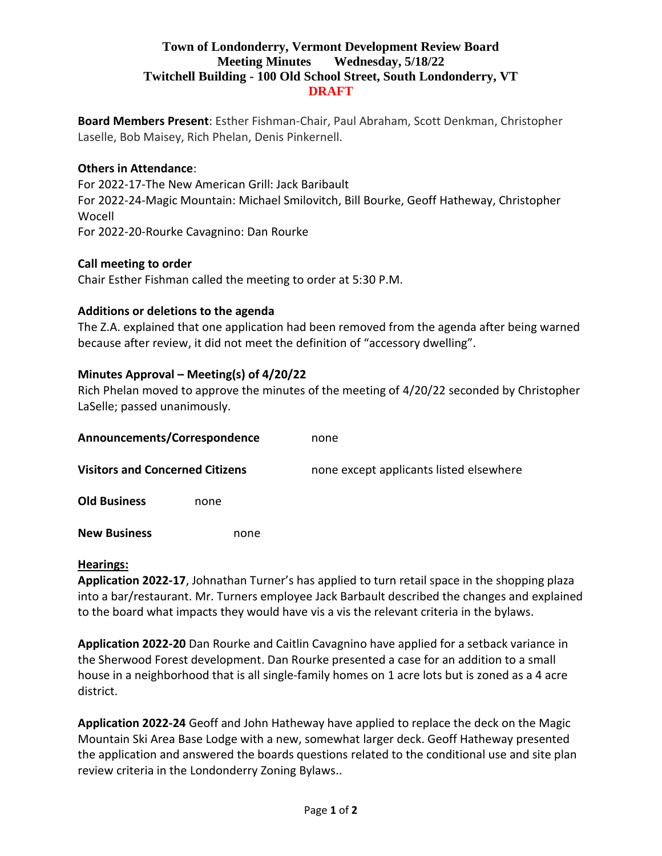## **Town of Londonderry, Vermont Development Review Board Meeting Minutes Wednesday, 5/18/22 Twitchell Building - 100 Old School Street, South Londonderry, VT DRAFT**

**Board Members Present**: Esther Fishman-Chair, Paul Abraham, Scott Denkman, Christopher Laselle, Bob Maisey, Rich Phelan, Denis Pinkernell.

### **Others in Attendance**:

For 2022-17-The New American Grill: Jack Baribault For 2022-24-Magic Mountain: Michael Smilovitch, Bill Bourke, Geoff Hatheway, Christopher Wocell For 2022-20-Rourke Cavagnino: Dan Rourke

### **Call meeting to order**

Chair Esther Fishman called the meeting to order at 5:30 P.M.

### **Additions or deletions to the agenda**

The Z.A. explained that one application had been removed from the agenda after being warned because after review, it did not meet the definition of "accessory dwelling".

# **Minutes Approval – Meeting(s) of 4/20/22**

Rich Phelan moved to approve the minutes of the meeting of 4/20/22 seconded by Christopher LaSelle; passed unanimously.

| Announcements/Correspondence           |      | none                                    |
|----------------------------------------|------|-----------------------------------------|
| <b>Visitors and Concerned Citizens</b> |      | none except applicants listed elsewhere |
| <b>Old Business</b>                    | none |                                         |
| <b>New Business</b>                    | none |                                         |

### **Hearings:**

**Application 2022-17**, Johnathan Turner's has applied to turn retail space in the shopping plaza into a bar/restaurant. Mr. Turners employee Jack Barbault described the changes and explained to the board what impacts they would have vis a vis the relevant criteria in the bylaws.

**Application 2022-20** Dan Rourke and Caitlin Cavagnino have applied for a setback variance in the Sherwood Forest development. Dan Rourke presented a case for an addition to a small house in a neighborhood that is all single-family homes on 1 acre lots but is zoned as a 4 acre district.

**Application 2022-24** Geoff and John Hatheway have applied to replace the deck on the Magic Mountain Ski Area Base Lodge with a new, somewhat larger deck. Geoff Hatheway presented the application and answered the boards questions related to the conditional use and site plan review criteria in the Londonderry Zoning Bylaws..